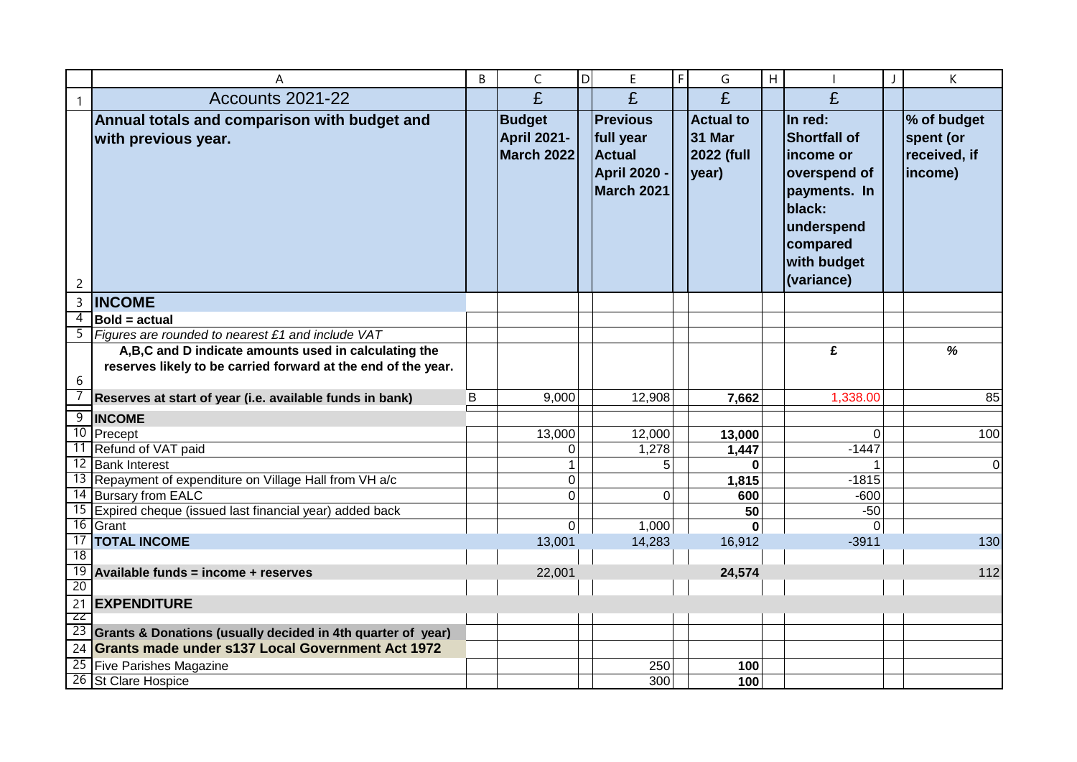|                | Α                                                                           | B | $\mathsf C$                                              | D | E                                                                                  | F | G                                                        | H |                                                                                                                                              | K                                                   |
|----------------|-----------------------------------------------------------------------------|---|----------------------------------------------------------|---|------------------------------------------------------------------------------------|---|----------------------------------------------------------|---|----------------------------------------------------------------------------------------------------------------------------------------------|-----------------------------------------------------|
| $\mathbf{1}$   | Accounts 2021-22                                                            |   | £                                                        |   | £                                                                                  |   | £                                                        |   | £                                                                                                                                            |                                                     |
| $\overline{c}$ | Annual totals and comparison with budget and<br>with previous year.         |   | <b>Budget</b><br><b>April 2021-</b><br><b>March 2022</b> |   | <b>Previous</b><br>full year<br><b>Actual</b><br><b>April 2020 -</b><br>March 2021 |   | <b>Actual to</b><br><b>31 Mar</b><br>2022 (full<br>year) |   | In red:<br><b>Shortfall of</b><br>income or<br>overspend of<br>payments. In<br>black:<br>underspend<br>compared<br>with budget<br>(variance) | % of budget<br>spent (or<br>received, if<br>income) |
| 3              | <b>INCOME</b>                                                               |   |                                                          |   |                                                                                    |   |                                                          |   |                                                                                                                                              |                                                     |
| $\overline{4}$ | <b>Bold = actual</b>                                                        |   |                                                          |   |                                                                                    |   |                                                          |   |                                                                                                                                              |                                                     |
|                | $\overline{5}$ Figures are rounded to nearest £1 and include VAT            |   |                                                          |   |                                                                                    |   |                                                          |   |                                                                                                                                              |                                                     |
|                | A,B,C and D indicate amounts used in calculating the                        |   |                                                          |   |                                                                                    |   |                                                          |   | £                                                                                                                                            | %                                                   |
|                | reserves likely to be carried forward at the end of the year.               |   |                                                          |   |                                                                                    |   |                                                          |   |                                                                                                                                              |                                                     |
| 6              |                                                                             |   |                                                          |   |                                                                                    |   |                                                          |   |                                                                                                                                              |                                                     |
|                | Reserves at start of year (i.e. available funds in bank)                    | B | 9,000                                                    |   | 12,908                                                                             |   | 7,662                                                    |   | 1,338.00                                                                                                                                     | 85                                                  |
|                | 9 INCOME                                                                    |   |                                                          |   |                                                                                    |   |                                                          |   |                                                                                                                                              |                                                     |
|                | 10 Precept                                                                  |   | 13,000                                                   |   | 12,000                                                                             |   | 13,000                                                   |   | $\Omega$                                                                                                                                     | 100                                                 |
|                | 11 Refund of VAT paid                                                       |   | $\mathbf 0$                                              |   | 1,278                                                                              |   | 1,447                                                    |   | $-1447$                                                                                                                                      |                                                     |
|                | 12 Bank Interest                                                            |   | $\mathbf{1}$                                             |   | 5                                                                                  |   |                                                          |   |                                                                                                                                              | $\pmb{0}$                                           |
|                | 13 Repayment of expenditure on Village Hall from VH a/c                     |   | $\mathbf 0$                                              |   |                                                                                    |   | 1,815                                                    |   | $-1815$                                                                                                                                      |                                                     |
|                | 14 Bursary from EALC                                                        |   | 0                                                        |   | $\Omega$                                                                           |   | 600                                                      |   | $-600$                                                                                                                                       |                                                     |
|                | 15 Expired cheque (issued last financial year) added back                   |   |                                                          |   |                                                                                    |   | 50                                                       |   | $-50$                                                                                                                                        |                                                     |
|                | $\overline{16}$ Grant<br>17   TOTAL INCOME                                  |   | $\mathbf 0$<br>13,001                                    |   | 1,000<br>14,283                                                                    |   | 16,912                                                   |   | $\Omega$<br>$-3911$                                                                                                                          | 130                                                 |
| 18             |                                                                             |   |                                                          |   |                                                                                    |   |                                                          |   |                                                                                                                                              |                                                     |
|                | $\overline{19}$ Available funds = income + reserves                         |   | 22,001                                                   |   |                                                                                    |   | 24,574                                                   |   |                                                                                                                                              | 112                                                 |
| 20             |                                                                             |   |                                                          |   |                                                                                    |   |                                                          |   |                                                                                                                                              |                                                     |
|                | 21 EXPENDITURE                                                              |   |                                                          |   |                                                                                    |   |                                                          |   |                                                                                                                                              |                                                     |
| -22            |                                                                             |   |                                                          |   |                                                                                    |   |                                                          |   |                                                                                                                                              |                                                     |
|                | $\overline{23}$ Grants & Donations (usually decided in 4th quarter of year) |   |                                                          |   |                                                                                    |   |                                                          |   |                                                                                                                                              |                                                     |
|                | 24 Grants made under s137 Local Government Act 1972                         |   |                                                          |   |                                                                                    |   |                                                          |   |                                                                                                                                              |                                                     |
|                | 25 Five Parishes Magazine                                                   |   |                                                          |   | 250                                                                                |   | 100                                                      |   |                                                                                                                                              |                                                     |
|                | 26 St Clare Hospice                                                         |   |                                                          |   | 300                                                                                |   | 100                                                      |   |                                                                                                                                              |                                                     |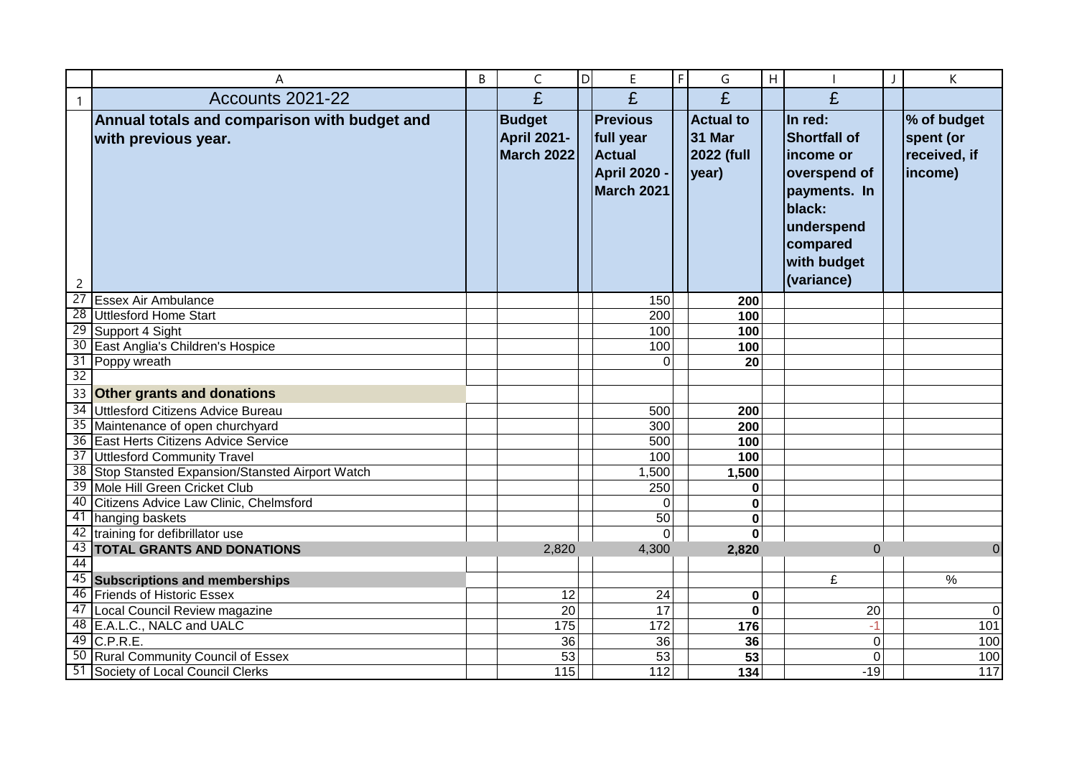|                | A                                                                   | B | C                                                        | ldl | E                                                                                  | $\mathsf F$ | G                                                        | $\overline{H}$ |                                                                                                                                              | К                                                   |
|----------------|---------------------------------------------------------------------|---|----------------------------------------------------------|-----|------------------------------------------------------------------------------------|-------------|----------------------------------------------------------|----------------|----------------------------------------------------------------------------------------------------------------------------------------------|-----------------------------------------------------|
| $\mathbf{1}$   | Accounts 2021-22                                                    |   | £                                                        |     | £                                                                                  |             | £                                                        |                | £                                                                                                                                            |                                                     |
| $\overline{c}$ | Annual totals and comparison with budget and<br>with previous year. |   | <b>Budget</b><br><b>April 2021-</b><br><b>March 2022</b> |     | <b>Previous</b><br>full year<br><b>Actual</b><br><b>April 2020 -</b><br>March 2021 |             | <b>Actual to</b><br><b>31 Mar</b><br>2022 (full<br>year) |                | In red:<br><b>Shortfall of</b><br>income or<br>overspend of<br>payments. In<br>black:<br>underspend<br>compared<br>with budget<br>(variance) | % of budget<br>spent (or<br>received, if<br>income) |
|                | 27 Essex Air Ambulance                                              |   |                                                          |     | 150                                                                                |             | 200                                                      |                |                                                                                                                                              |                                                     |
|                | 28 Uttlesford Home Start                                            |   |                                                          |     | 200                                                                                |             | 100                                                      |                |                                                                                                                                              |                                                     |
|                | 29 Support 4 Sight                                                  |   |                                                          |     | 100                                                                                |             | 100                                                      |                |                                                                                                                                              |                                                     |
|                | 30 East Anglia's Children's Hospice                                 |   |                                                          |     | 100                                                                                |             | 100                                                      |                |                                                                                                                                              |                                                     |
|                | 31 Poppy wreath                                                     |   |                                                          |     | $\Omega$                                                                           |             | 20                                                       |                |                                                                                                                                              |                                                     |
| 32             |                                                                     |   |                                                          |     |                                                                                    |             |                                                          |                |                                                                                                                                              |                                                     |
|                | 33 Other grants and donations                                       |   |                                                          |     |                                                                                    |             |                                                          |                |                                                                                                                                              |                                                     |
|                | 34 Uttlesford Citizens Advice Bureau                                |   |                                                          |     | 500                                                                                |             | 200                                                      |                |                                                                                                                                              |                                                     |
|                | 35 Maintenance of open churchyard                                   |   |                                                          |     | 300                                                                                |             | 200                                                      |                |                                                                                                                                              |                                                     |
|                | 36 East Herts Citizens Advice Service                               |   |                                                          |     | 500                                                                                |             | 100                                                      |                |                                                                                                                                              |                                                     |
|                | 37 Uttlesford Community Travel                                      |   |                                                          |     | 100                                                                                |             | 100                                                      |                |                                                                                                                                              |                                                     |
|                | 38 Stop Stansted Expansion/Stansted Airport Watch                   |   |                                                          |     | 1,500                                                                              |             | 1,500                                                    |                |                                                                                                                                              |                                                     |
|                | 39 Mole Hill Green Cricket Club                                     |   |                                                          |     | 250                                                                                |             | 0                                                        |                |                                                                                                                                              |                                                     |
|                | 40 Citizens Advice Law Clinic, Chelmsford                           |   |                                                          |     | $\Omega$                                                                           |             | 0                                                        |                |                                                                                                                                              |                                                     |
|                | 41 hanging baskets                                                  |   |                                                          |     | 50                                                                                 |             | 0                                                        |                |                                                                                                                                              |                                                     |
|                | 42 training for defibrillator use                                   |   |                                                          |     | $\Omega$                                                                           |             | $\bf{0}$                                                 |                |                                                                                                                                              |                                                     |
|                | 43   TOTAL GRANTS AND DONATIONS                                     |   | 2,820                                                    |     | 4,300                                                                              |             | 2,820                                                    |                | $\Omega$                                                                                                                                     | $\overline{0}$                                      |
| 44             |                                                                     |   |                                                          |     |                                                                                    |             |                                                          |                |                                                                                                                                              |                                                     |
|                | 45 Subscriptions and memberships                                    |   |                                                          |     |                                                                                    |             |                                                          |                | £                                                                                                                                            | $\frac{0}{0}$                                       |
|                | 46 Friends of Historic Essex                                        |   | 12                                                       |     | 24                                                                                 |             | 0                                                        |                |                                                                                                                                              |                                                     |
|                | 47 Local Council Review magazine                                    |   | 20                                                       |     | 17                                                                                 |             | $\bf{0}$                                                 |                | 20                                                                                                                                           | $\pmb{0}$                                           |
|                | 48 E.A.L.C., NALC and UALC                                          |   | $\frac{175}{175}$                                        |     | 172                                                                                |             | 176                                                      |                | $-1$                                                                                                                                         | 101                                                 |
|                | 49 C.P.R.E.                                                         |   | 36                                                       |     | 36                                                                                 |             | 36                                                       |                | $\mathbf 0$                                                                                                                                  | 100                                                 |
|                | 50 Rural Community Council of Essex                                 |   | 53                                                       |     | 53                                                                                 |             | 53                                                       |                | $\mathbf 0$                                                                                                                                  | 100                                                 |
|                | 51 Society of Local Council Clerks                                  |   | 115                                                      |     | 112                                                                                |             | 134                                                      |                | $-19$                                                                                                                                        | 117                                                 |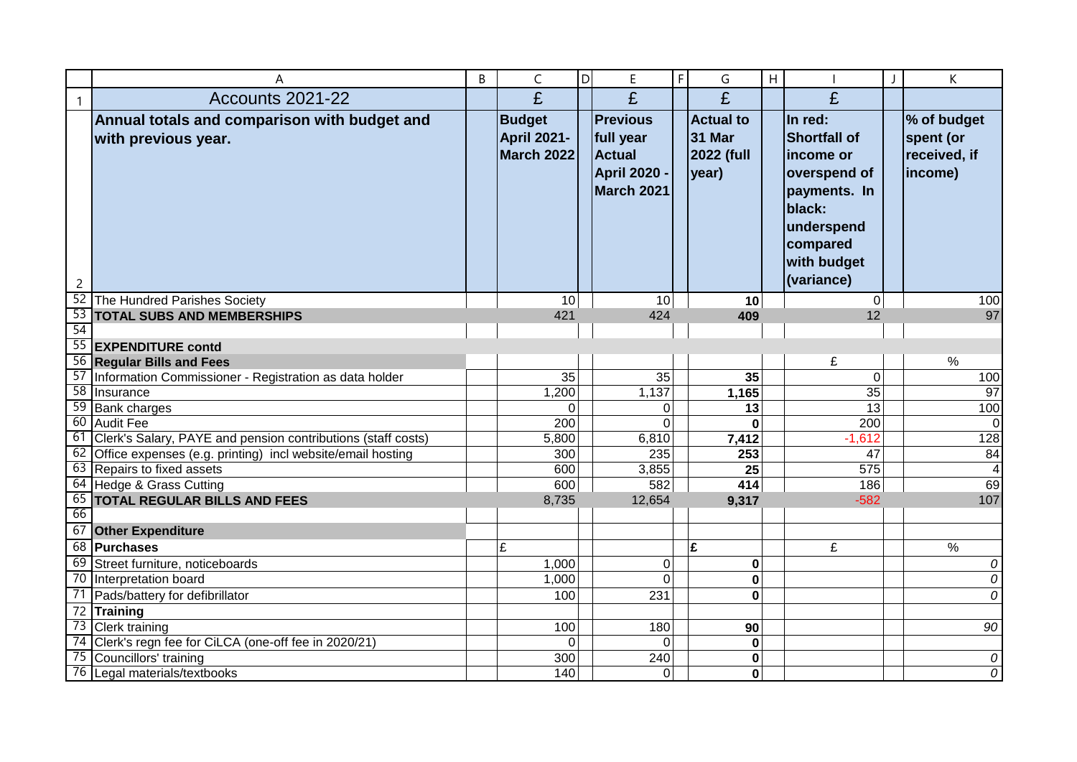|              | A                                                                   | B | C                                                 | <b>D</b> | E                                                                                  | $\mathsf F$ | G                                                        | H |                                                                                                                                               | К                                                   |
|--------------|---------------------------------------------------------------------|---|---------------------------------------------------|----------|------------------------------------------------------------------------------------|-------------|----------------------------------------------------------|---|-----------------------------------------------------------------------------------------------------------------------------------------------|-----------------------------------------------------|
| $\mathbf{1}$ | Accounts 2021-22                                                    |   | £                                                 |          | £                                                                                  |             | £                                                        |   | £                                                                                                                                             |                                                     |
| 2            | Annual totals and comparison with budget and<br>with previous year. |   | <b>Budget</b><br><b>April 2021-</b><br>March 2022 |          | <b>Previous</b><br>full year<br><b>Actual</b><br><b>April 2020 -</b><br>March 2021 |             | <b>Actual to</b><br><b>31 Mar</b><br>2022 (full<br>year) |   | In red:<br><b>Shortfall of</b><br>lincome or<br>overspend of<br>payments. In<br>black:<br>underspend<br>compared<br>with budget<br>(variance) | % of budget<br>spent (or<br>received, if<br>income) |
|              | 52 The Hundred Parishes Society                                     |   | 10 <sup>1</sup>                                   |          | 10 <sup>1</sup>                                                                    |             | 10                                                       |   | 0                                                                                                                                             | 100                                                 |
|              | 53 TOTAL SUBS AND MEMBERSHIPS                                       |   | 421                                               |          | 424                                                                                |             | 409                                                      |   | 12                                                                                                                                            | 97                                                  |
| 54           |                                                                     |   |                                                   |          |                                                                                    |             |                                                          |   |                                                                                                                                               |                                                     |
|              | 55 EXPENDITURE contd                                                |   |                                                   |          |                                                                                    |             |                                                          |   |                                                                                                                                               |                                                     |
|              | 56 Regular Bills and Fees                                           |   |                                                   |          |                                                                                    |             |                                                          |   | £                                                                                                                                             | $\%$                                                |
|              | 57 Information Commissioner - Registration as data holder           |   | 35                                                |          | 35                                                                                 |             | 35                                                       |   | $\overline{0}$                                                                                                                                | 100                                                 |
|              | 58 Insurance                                                        |   | 1,200                                             |          | 1,137                                                                              |             | 1,165                                                    |   | 35                                                                                                                                            | 97                                                  |
|              | 59 Bank charges                                                     |   | 0                                                 |          | $\Omega$                                                                           |             | 13                                                       |   | 13                                                                                                                                            | 100                                                 |
|              | 60 Audit Fee                                                        |   | 200                                               |          | $\Omega$                                                                           |             | $\Omega$                                                 |   | 200                                                                                                                                           | $\Omega$                                            |
|              | 61 Clerk's Salary, PAYE and pension contributions (staff costs)     |   | 5,800                                             |          | 6,810                                                                              |             | 7,412                                                    |   | $-1,612$                                                                                                                                      | 128                                                 |
|              | 62 Office expenses (e.g. printing) incl website/email hosting       |   | 300                                               |          | 235                                                                                |             | 253                                                      |   | 47                                                                                                                                            | 84                                                  |
|              | 63 Repairs to fixed assets                                          |   | 600                                               |          | 3,855                                                                              |             | 25                                                       |   | 575                                                                                                                                           | $\overline{4}$                                      |
|              | 64 Hedge & Grass Cutting                                            |   | 600                                               |          | 582                                                                                |             | 414                                                      |   | 186                                                                                                                                           | 69                                                  |
|              | 65 TOTAL REGULAR BILLS AND FEES                                     |   | 8,735                                             |          | 12,654                                                                             |             | 9,317                                                    |   | $-582$                                                                                                                                        | 107                                                 |
| 66           |                                                                     |   |                                                   |          |                                                                                    |             |                                                          |   |                                                                                                                                               |                                                     |
|              | 67 Other Expenditure                                                |   |                                                   |          |                                                                                    |             |                                                          |   |                                                                                                                                               |                                                     |
|              | 68 Purchases                                                        |   | £                                                 |          |                                                                                    |             | £                                                        |   | £                                                                                                                                             | $\frac{9}{6}$                                       |
|              | 69 Street furniture, noticeboards                                   |   | 1,000                                             |          | $\Omega$                                                                           |             | 0                                                        |   |                                                                                                                                               | 0                                                   |
|              | 70 Interpretation board                                             |   | 1,000                                             |          | $\Omega$                                                                           |             | 0                                                        |   |                                                                                                                                               | 0                                                   |
|              | 71 Pads/battery for defibrillator                                   |   | 100                                               |          | 231                                                                                |             | 0                                                        |   |                                                                                                                                               | 0                                                   |
|              | 72 Training                                                         |   |                                                   |          |                                                                                    |             |                                                          |   |                                                                                                                                               |                                                     |
|              | 73 Clerk training                                                   |   | 100                                               |          | 180                                                                                |             | 90                                                       |   |                                                                                                                                               | 90                                                  |
|              | 74 Clerk's regn fee for CiLCA (one-off fee in 2020/21)              |   | $\Omega$                                          |          | $\Omega$                                                                           |             | 0                                                        |   |                                                                                                                                               |                                                     |
|              | 75 Councillors' training                                            |   | 300                                               |          | 240                                                                                |             | 0                                                        |   |                                                                                                                                               | ${\cal O}$                                          |
|              | 76 Legal materials/textbooks                                        |   | 140                                               |          | $\Omega$                                                                           |             | $\mathbf 0$                                              |   |                                                                                                                                               | 0                                                   |